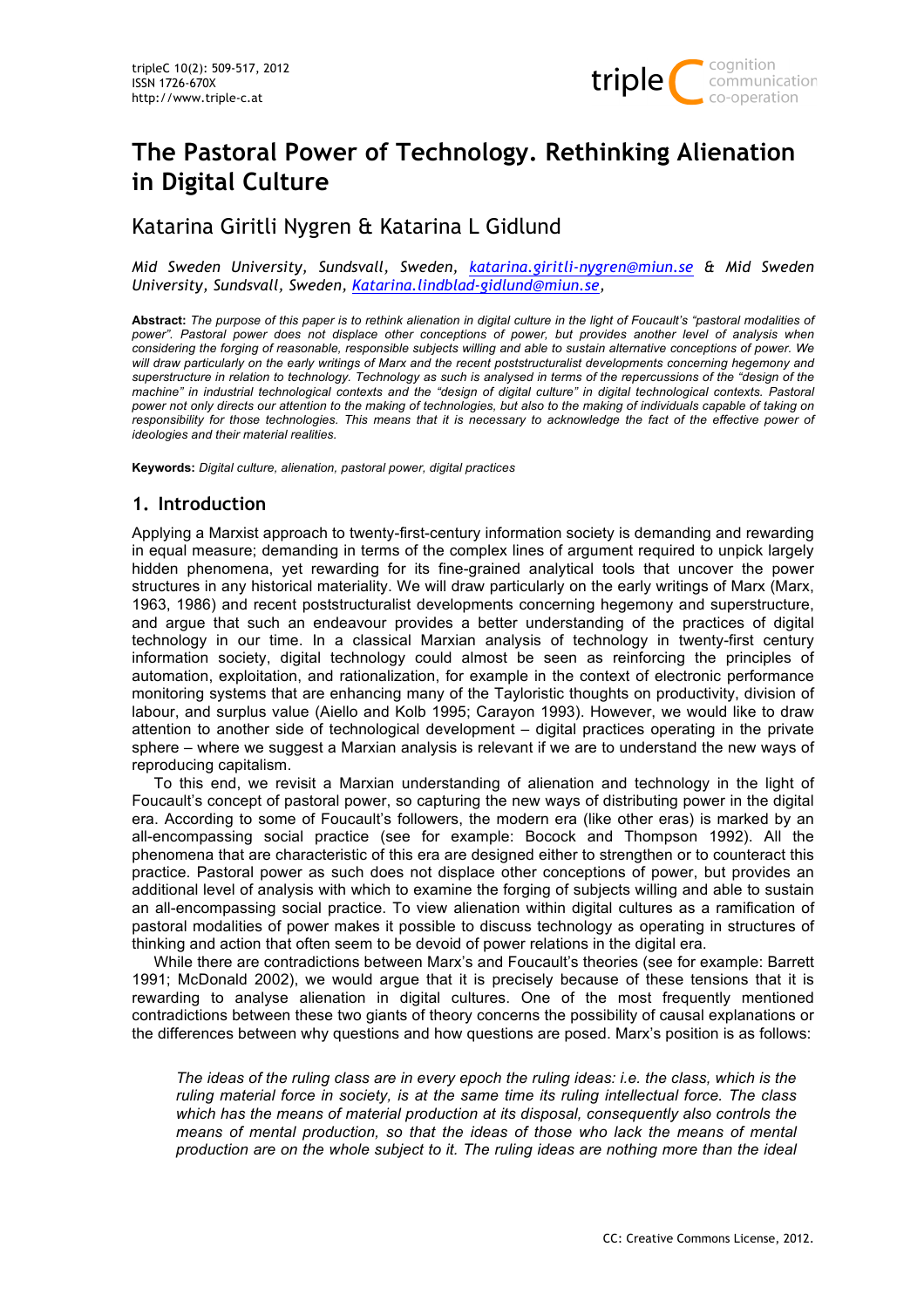

# **The Pastoral Power of Technology. Rethinking Alienation in Digital Culture**

Katarina Giritli Nygren & Katarina L Gidlund

*Mid Sweden University, Sundsvall, Sweden, katarina.giritli-nygren@miun.se & Mid Sweden University, Sundsvall, Sweden, Katarina.lindblad-gidlund@miun.se,* 

**Abstract:** *The purpose of this paper is to rethink alienation in digital culture in the light of Foucault's "pastoral modalities of*  power". Pastoral power does not displace other conceptions of power, but provides another level of analysis when *considering the forging of reasonable, responsible subjects willing and able to sustain alternative conceptions of power. We will draw particularly on the early writings of Marx and the recent poststructuralist developments concerning hegemony and superstructure in relation to technology. Technology as such is analysed in terms of the repercussions of the "design of the machine" in industrial technological contexts and the "design of digital culture" in digital technological contexts. Pastoral power not only directs our attention to the making of technologies, but also to the making of individuals capable of taking on*  responsibility for those technologies. This means that it is necessary to acknowledge the fact of the effective power of *ideologies and their material realities.*

**Keywords:** *Digital culture, alienation, pastoral power, digital practices* 

## **1. Introduction**

Applying a Marxist approach to twenty-first-century information society is demanding and rewarding in equal measure; demanding in terms of the complex lines of argument required to unpick largely hidden phenomena, yet rewarding for its fine-grained analytical tools that uncover the power structures in any historical materiality. We will draw particularly on the early writings of Marx (Marx, 1963, 1986) and recent poststructuralist developments concerning hegemony and superstructure, and argue that such an endeavour provides a better understanding of the practices of digital technology in our time. In a classical Marxian analysis of technology in twenty-first century information society, digital technology could almost be seen as reinforcing the principles of automation, exploitation, and rationalization, for example in the context of electronic performance monitoring systems that are enhancing many of the Tayloristic thoughts on productivity, division of labour, and surplus value (Aiello and Kolb 1995; Carayon 1993). However, we would like to draw attention to another side of technological development – digital practices operating in the private sphere – where we suggest a Marxian analysis is relevant if we are to understand the new ways of reproducing capitalism.

To this end, we revisit a Marxian understanding of alienation and technology in the light of Foucault's concept of pastoral power, so capturing the new ways of distributing power in the digital era. According to some of Foucault's followers, the modern era (like other eras) is marked by an all-encompassing social practice (see for example: Bocock and Thompson 1992). All the phenomena that are characteristic of this era are designed either to strengthen or to counteract this practice. Pastoral power as such does not displace other conceptions of power, but provides an additional level of analysis with which to examine the forging of subjects willing and able to sustain an all-encompassing social practice. To view alienation within digital cultures as a ramification of pastoral modalities of power makes it possible to discuss technology as operating in structures of thinking and action that often seem to be devoid of power relations in the digital era.

While there are contradictions between Marx's and Foucault's theories (see for example: Barrett 1991; McDonald 2002), we would argue that it is precisely because of these tensions that it is rewarding to analyse alienation in digital cultures. One of the most frequently mentioned contradictions between these two giants of theory concerns the possibility of causal explanations or the differences between why questions and how questions are posed. Marx's position is as follows:

*The ideas of the ruling class are in every epoch the ruling ideas: i.e. the class, which is the ruling material force in society, is at the same time its ruling intellectual force. The class which has the means of material production at its disposal, consequently also controls the means of mental production, so that the ideas of those who lack the means of mental production are on the whole subject to it. The ruling ideas are nothing more than the ideal*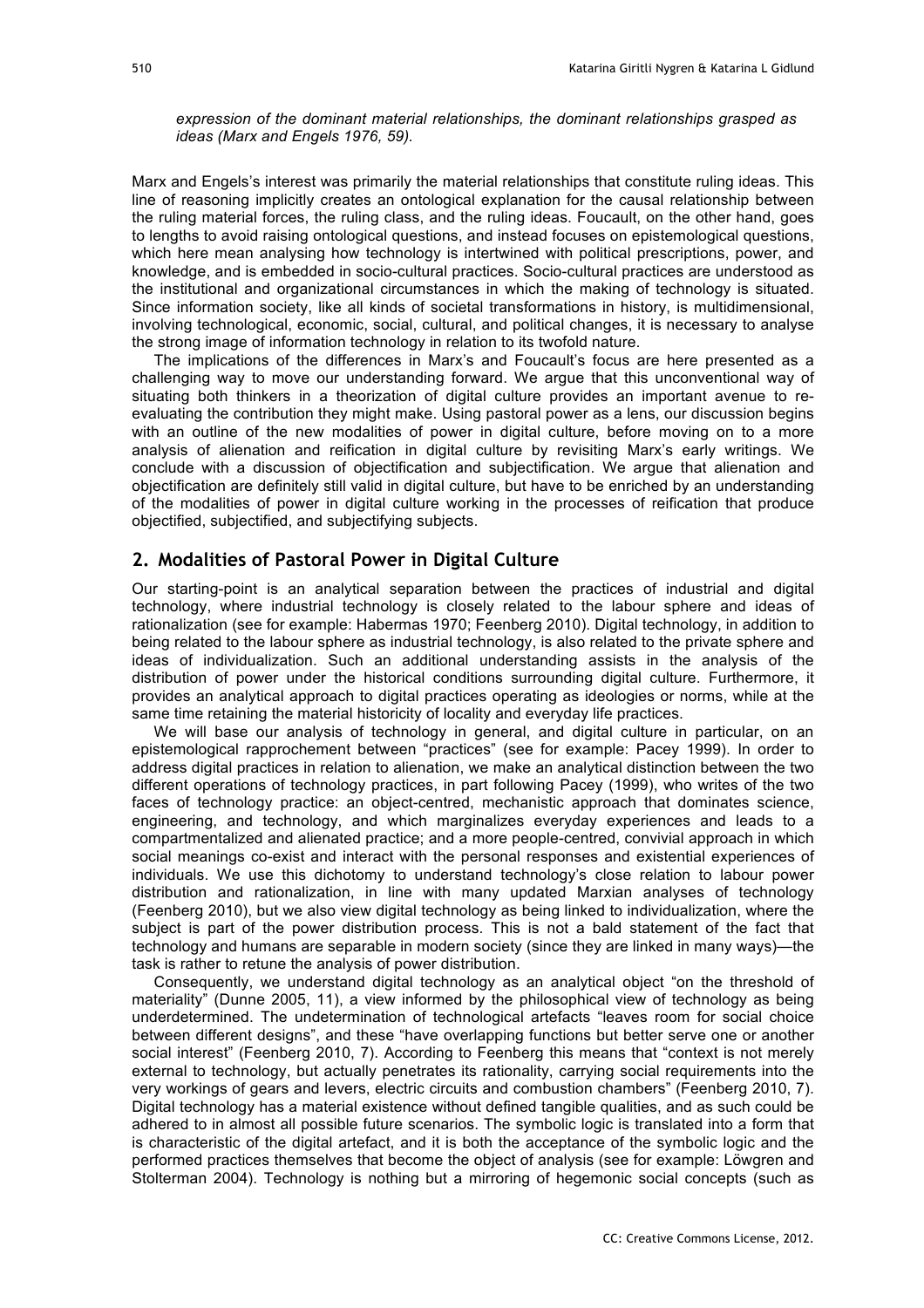*expression of the dominant material relationships, the dominant relationships grasped as ideas (Marx and Engels 1976, 59).*

Marx and Engels's interest was primarily the material relationships that constitute ruling ideas. This line of reasoning implicitly creates an ontological explanation for the causal relationship between the ruling material forces, the ruling class, and the ruling ideas. Foucault, on the other hand, goes to lengths to avoid raising ontological questions, and instead focuses on epistemological questions, which here mean analysing how technology is intertwined with political prescriptions, power, and knowledge, and is embedded in socio-cultural practices. Socio-cultural practices are understood as the institutional and organizational circumstances in which the making of technology is situated. Since information society, like all kinds of societal transformations in history, is multidimensional, involving technological, economic, social, cultural, and political changes, it is necessary to analyse the strong image of information technology in relation to its twofold nature.

The implications of the differences in Marx's and Foucault's focus are here presented as a challenging way to move our understanding forward. We argue that this unconventional way of situating both thinkers in a theorization of digital culture provides an important avenue to reevaluating the contribution they might make. Using pastoral power as a lens, our discussion begins with an outline of the new modalities of power in digital culture, before moving on to a more analysis of alienation and reification in digital culture by revisiting Marx's early writings. We conclude with a discussion of objectification and subjectification. We argue that alienation and objectification are definitely still valid in digital culture, but have to be enriched by an understanding of the modalities of power in digital culture working in the processes of reification that produce objectified, subjectified, and subjectifying subjects.

## **2. Modalities of Pastoral Power in Digital Culture**

Our starting-point is an analytical separation between the practices of industrial and digital technology, where industrial technology is closely related to the labour sphere and ideas of rationalization (see for example: Habermas 1970; Feenberg 2010). Digital technology, in addition to being related to the labour sphere as industrial technology, is also related to the private sphere and ideas of individualization. Such an additional understanding assists in the analysis of the distribution of power under the historical conditions surrounding digital culture. Furthermore, it provides an analytical approach to digital practices operating as ideologies or norms, while at the same time retaining the material historicity of locality and everyday life practices.

We will base our analysis of technology in general, and digital culture in particular, on an epistemological rapprochement between "practices" (see for example: Pacey 1999). In order to address digital practices in relation to alienation, we make an analytical distinction between the two different operations of technology practices, in part following Pacey (1999), who writes of the two faces of technology practice: an object-centred, mechanistic approach that dominates science, engineering, and technology, and which marginalizes everyday experiences and leads to a compartmentalized and alienated practice; and a more people-centred, convivial approach in which social meanings co-exist and interact with the personal responses and existential experiences of individuals. We use this dichotomy to understand technology's close relation to labour power distribution and rationalization, in line with many updated Marxian analyses of technology (Feenberg 2010), but we also view digital technology as being linked to individualization, where the subject is part of the power distribution process. This is not a bald statement of the fact that technology and humans are separable in modern society (since they are linked in many ways)—the task is rather to retune the analysis of power distribution.

Consequently, we understand digital technology as an analytical object "on the threshold of materiality" (Dunne 2005, 11), a view informed by the philosophical view of technology as being underdetermined. The undetermination of technological artefacts "leaves room for social choice between different designs", and these "have overlapping functions but better serve one or another social interest" (Feenberg 2010, 7). According to Feenberg this means that "context is not merely external to technology, but actually penetrates its rationality, carrying social requirements into the very workings of gears and levers, electric circuits and combustion chambers" (Feenberg 2010, 7). Digital technology has a material existence without defined tangible qualities, and as such could be adhered to in almost all possible future scenarios. The symbolic logic is translated into a form that is characteristic of the digital artefact, and it is both the acceptance of the symbolic logic and the performed practices themselves that become the object of analysis (see for example: Löwgren and Stolterman 2004). Technology is nothing but a mirroring of hegemonic social concepts (such as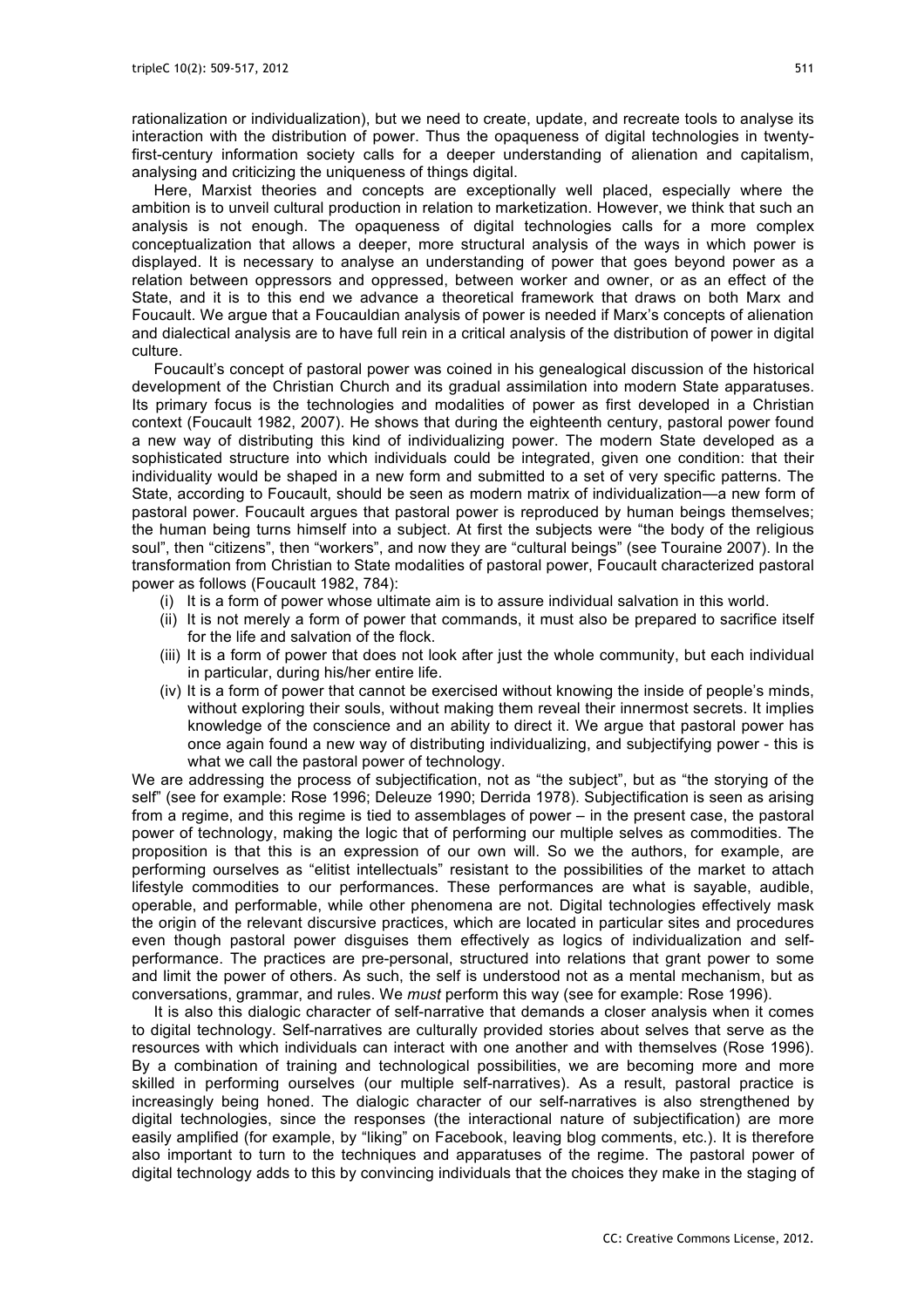rationalization or individualization), but we need to create, update, and recreate tools to analyse its interaction with the distribution of power. Thus the opaqueness of digital technologies in twentyfirst-century information society calls for a deeper understanding of alienation and capitalism, analysing and criticizing the uniqueness of things digital.

Here, Marxist theories and concepts are exceptionally well placed, especially where the ambition is to unveil cultural production in relation to marketization. However, we think that such an analysis is not enough. The opaqueness of digital technologies calls for a more complex conceptualization that allows a deeper, more structural analysis of the ways in which power is displayed. It is necessary to analyse an understanding of power that goes beyond power as a relation between oppressors and oppressed, between worker and owner, or as an effect of the State, and it is to this end we advance a theoretical framework that draws on both Marx and Foucault. We argue that a Foucauldian analysis of power is needed if Marx's concepts of alienation and dialectical analysis are to have full rein in a critical analysis of the distribution of power in digital culture.

Foucault's concept of pastoral power was coined in his genealogical discussion of the historical development of the Christian Church and its gradual assimilation into modern State apparatuses. Its primary focus is the technologies and modalities of power as first developed in a Christian context (Foucault 1982, 2007). He shows that during the eighteenth century, pastoral power found a new way of distributing this kind of individualizing power. The modern State developed as a sophisticated structure into which individuals could be integrated, given one condition: that their individuality would be shaped in a new form and submitted to a set of very specific patterns. The State, according to Foucault, should be seen as modern matrix of individualization—a new form of pastoral power. Foucault argues that pastoral power is reproduced by human beings themselves; the human being turns himself into a subject. At first the subjects were "the body of the religious soul", then "citizens", then "workers", and now they are "cultural beings" (see Touraine 2007). In the transformation from Christian to State modalities of pastoral power, Foucault characterized pastoral power as follows (Foucault 1982, 784):

- (i) It is a form of power whose ultimate aim is to assure individual salvation in this world.
- (ii) It is not merely a form of power that commands, it must also be prepared to sacrifice itself for the life and salvation of the flock.
- (iii) It is a form of power that does not look after just the whole community, but each individual in particular, during his/her entire life.
- (iv) It is a form of power that cannot be exercised without knowing the inside of people's minds, without exploring their souls, without making them reveal their innermost secrets. It implies knowledge of the conscience and an ability to direct it. We argue that pastoral power has once again found a new way of distributing individualizing, and subjectifying power - this is what we call the pastoral power of technology.

We are addressing the process of subjectification, not as "the subject", but as "the storying of the self" (see for example: Rose 1996; Deleuze 1990; Derrida 1978). Subjectification is seen as arising from a regime, and this regime is tied to assemblages of power – in the present case, the pastoral power of technology, making the logic that of performing our multiple selves as commodities. The proposition is that this is an expression of our own will. So we the authors, for example, are performing ourselves as "elitist intellectuals" resistant to the possibilities of the market to attach lifestyle commodities to our performances. These performances are what is sayable, audible, operable, and performable, while other phenomena are not. Digital technologies effectively mask the origin of the relevant discursive practices, which are located in particular sites and procedures even though pastoral power disguises them effectively as logics of individualization and selfperformance. The practices are pre-personal, structured into relations that grant power to some and limit the power of others. As such, the self is understood not as a mental mechanism, but as conversations, grammar, and rules. We *must* perform this way (see for example: Rose 1996).

It is also this dialogic character of self-narrative that demands a closer analysis when it comes to digital technology. Self-narratives are culturally provided stories about selves that serve as the resources with which individuals can interact with one another and with themselves (Rose 1996). By a combination of training and technological possibilities, we are becoming more and more skilled in performing ourselves (our multiple self-narratives). As a result, pastoral practice is increasingly being honed. The dialogic character of our self-narratives is also strengthened by digital technologies, since the responses (the interactional nature of subjectification) are more easily amplified (for example, by "liking" on Facebook, leaving blog comments, etc.). It is therefore also important to turn to the techniques and apparatuses of the regime. The pastoral power of digital technology adds to this by convincing individuals that the choices they make in the staging of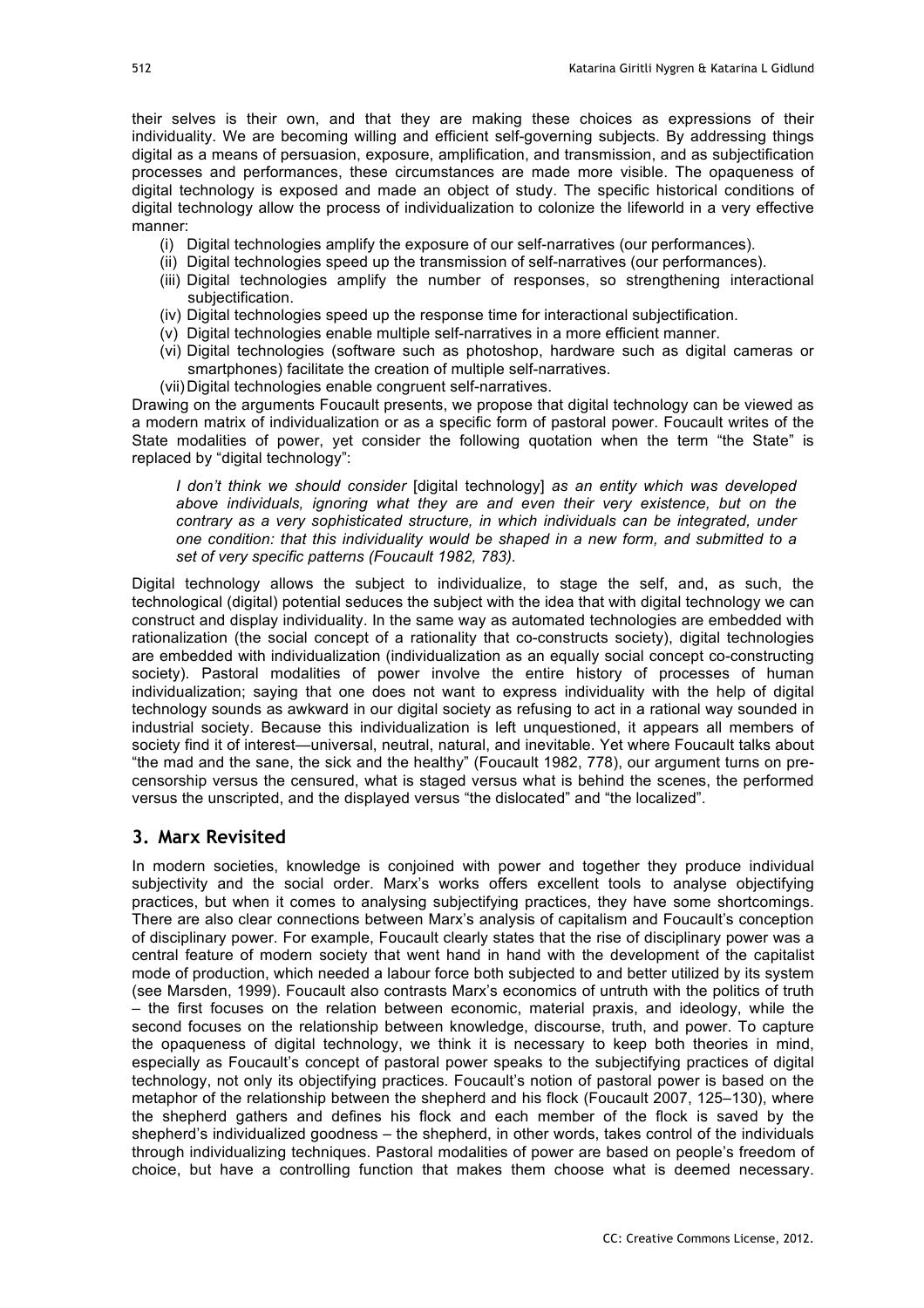their selves is their own, and that they are making these choices as expressions of their individuality. We are becoming willing and efficient self-governing subjects. By addressing things digital as a means of persuasion, exposure, amplification, and transmission, and as subjectification processes and performances, these circumstances are made more visible. The opaqueness of digital technology is exposed and made an object of study. The specific historical conditions of digital technology allow the process of individualization to colonize the lifeworld in a very effective manner:

- (i) Digital technologies amplify the exposure of our self-narratives (our performances).
- (ii) Digital technologies speed up the transmission of self-narratives (our performances).
- (iii) Digital technologies amplify the number of responses, so strengthening interactional subjectification.
- (iv) Digital technologies speed up the response time for interactional subjectification.
- (v) Digital technologies enable multiple self-narratives in a more efficient manner.
- (vi) Digital technologies (software such as photoshop, hardware such as digital cameras or smartphones) facilitate the creation of multiple self-narratives.
- (vii)Digital technologies enable congruent self-narratives.

Drawing on the arguments Foucault presents, we propose that digital technology can be viewed as a modern matrix of individualization or as a specific form of pastoral power. Foucault writes of the State modalities of power, yet consider the following quotation when the term "the State" is replaced by "digital technology":

*I don't think we should consider* [digital technology] *as an entity which was developed above individuals, ignoring what they are and even their very existence, but on the contrary as a very sophisticated structure, in which individuals can be integrated, under one condition: that this individuality would be shaped in a new form, and submitted to a set of very specific patterns (Foucault 1982, 783).*

Digital technology allows the subject to individualize, to stage the self, and, as such, the technological (digital) potential seduces the subject with the idea that with digital technology we can construct and display individuality. In the same way as automated technologies are embedded with rationalization (the social concept of a rationality that co-constructs society), digital technologies are embedded with individualization (individualization as an equally social concept co-constructing society). Pastoral modalities of power involve the entire history of processes of human individualization; saying that one does not want to express individuality with the help of digital technology sounds as awkward in our digital society as refusing to act in a rational way sounded in industrial society. Because this individualization is left unquestioned, it appears all members of society find it of interest—universal, neutral, natural, and inevitable. Yet where Foucault talks about "the mad and the sane, the sick and the healthy" (Foucault 1982, 778), our argument turns on precensorship versus the censured, what is staged versus what is behind the scenes, the performed versus the unscripted, and the displayed versus "the dislocated" and "the localized".

## **3. Marx Revisited**

In modern societies, knowledge is conjoined with power and together they produce individual subjectivity and the social order. Marx's works offers excellent tools to analyse objectifying practices, but when it comes to analysing subjectifying practices, they have some shortcomings. There are also clear connections between Marx's analysis of capitalism and Foucault's conception of disciplinary power. For example, Foucault clearly states that the rise of disciplinary power was a central feature of modern society that went hand in hand with the development of the capitalist mode of production, which needed a labour force both subjected to and better utilized by its system (see Marsden, 1999). Foucault also contrasts Marx's economics of untruth with the politics of truth – the first focuses on the relation between economic, material praxis, and ideology, while the second focuses on the relationship between knowledge, discourse, truth, and power. To capture the opaqueness of digital technology, we think it is necessary to keep both theories in mind, especially as Foucault's concept of pastoral power speaks to the subjectifying practices of digital technology, not only its objectifying practices. Foucault's notion of pastoral power is based on the metaphor of the relationship between the shepherd and his flock (Foucault 2007, 125–130), where the shepherd gathers and defines his flock and each member of the flock is saved by the shepherd's individualized goodness – the shepherd, in other words, takes control of the individuals through individualizing techniques. Pastoral modalities of power are based on people's freedom of choice, but have a controlling function that makes them choose what is deemed necessary.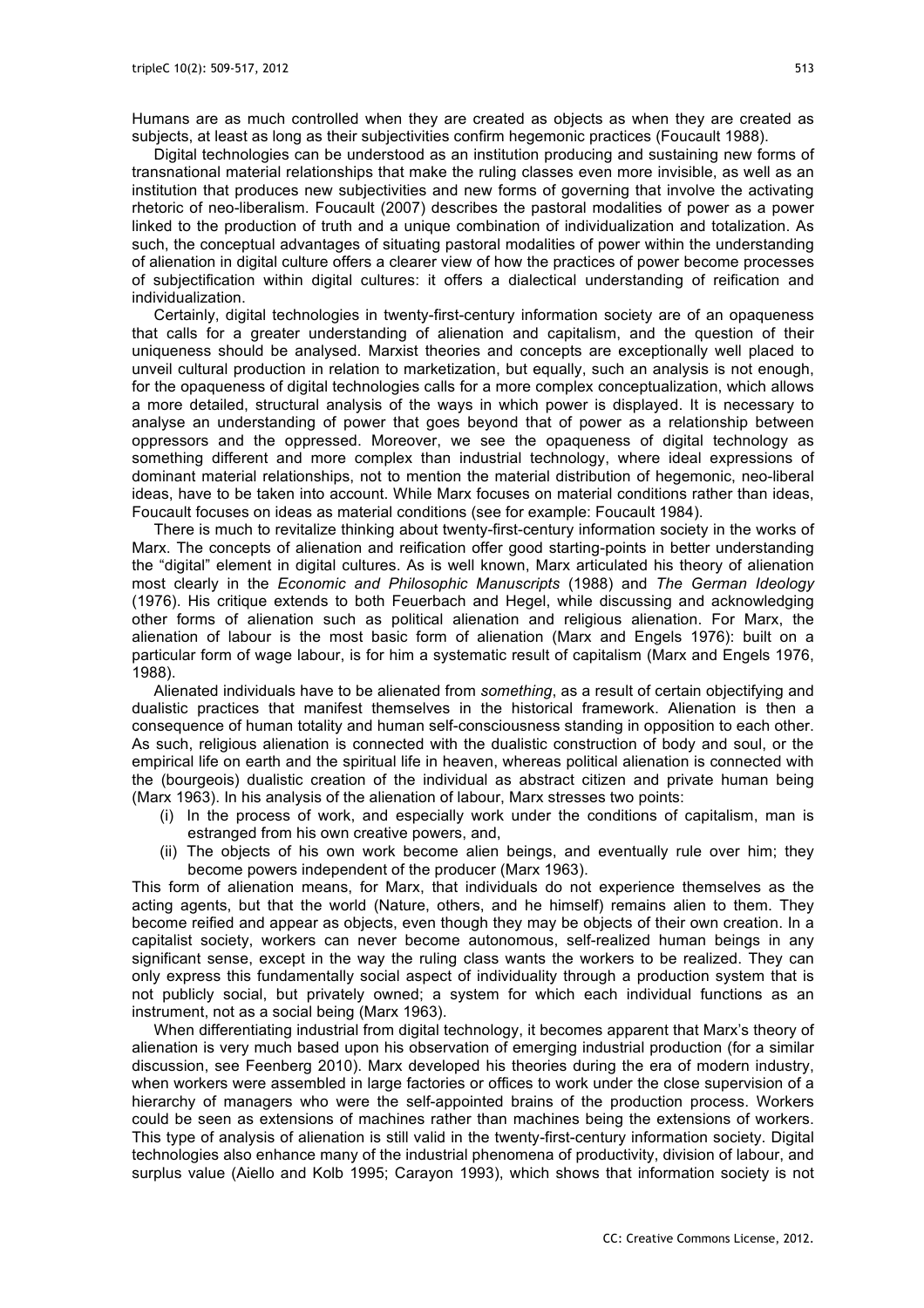Humans are as much controlled when they are created as objects as when they are created as subjects, at least as long as their subjectivities confirm hegemonic practices (Foucault 1988).

Digital technologies can be understood as an institution producing and sustaining new forms of transnational material relationships that make the ruling classes even more invisible, as well as an institution that produces new subjectivities and new forms of governing that involve the activating rhetoric of neo-liberalism. Foucault (2007) describes the pastoral modalities of power as a power linked to the production of truth and a unique combination of individualization and totalization. As such, the conceptual advantages of situating pastoral modalities of power within the understanding of alienation in digital culture offers a clearer view of how the practices of power become processes of subjectification within digital cultures: it offers a dialectical understanding of reification and individualization.

Certainly, digital technologies in twenty-first-century information society are of an opaqueness that calls for a greater understanding of alienation and capitalism, and the question of their uniqueness should be analysed. Marxist theories and concepts are exceptionally well placed to unveil cultural production in relation to marketization, but equally, such an analysis is not enough, for the opaqueness of digital technologies calls for a more complex conceptualization, which allows a more detailed, structural analysis of the ways in which power is displayed. It is necessary to analyse an understanding of power that goes beyond that of power as a relationship between oppressors and the oppressed. Moreover, we see the opaqueness of digital technology as something different and more complex than industrial technology, where ideal expressions of dominant material relationships, not to mention the material distribution of hegemonic, neo-liberal ideas, have to be taken into account. While Marx focuses on material conditions rather than ideas, Foucault focuses on ideas as material conditions (see for example: Foucault 1984).

There is much to revitalize thinking about twenty-first-century information society in the works of Marx. The concepts of alienation and reification offer good starting-points in better understanding the "digital" element in digital cultures. As is well known, Marx articulated his theory of alienation most clearly in the *Economic and Philosophic Manuscripts* (1988) and *The German Ideology* (1976). His critique extends to both Feuerbach and Hegel, while discussing and acknowledging other forms of alienation such as political alienation and religious alienation. For Marx, the alienation of labour is the most basic form of alienation (Marx and Engels 1976): built on a particular form of wage labour, is for him a systematic result of capitalism (Marx and Engels 1976, 1988).

Alienated individuals have to be alienated from *something*, as a result of certain objectifying and dualistic practices that manifest themselves in the historical framework. Alienation is then a consequence of human totality and human self-consciousness standing in opposition to each other. As such, religious alienation is connected with the dualistic construction of body and soul, or the empirical life on earth and the spiritual life in heaven, whereas political alienation is connected with the (bourgeois) dualistic creation of the individual as abstract citizen and private human being (Marx 1963). In his analysis of the alienation of labour, Marx stresses two points:

- (i) In the process of work, and especially work under the conditions of capitalism, man is estranged from his own creative powers, and,
- (ii) The objects of his own work become alien beings, and eventually rule over him; they become powers independent of the producer (Marx 1963).

This form of alienation means, for Marx, that individuals do not experience themselves as the acting agents, but that the world (Nature, others, and he himself) remains alien to them. They become reified and appear as objects, even though they may be objects of their own creation. In a capitalist society, workers can never become autonomous, self-realized human beings in any significant sense, except in the way the ruling class wants the workers to be realized. They can only express this fundamentally social aspect of individuality through a production system that is not publicly social, but privately owned; a system for which each individual functions as an instrument, not as a social being (Marx 1963).

When differentiating industrial from digital technology, it becomes apparent that Marx's theory of alienation is very much based upon his observation of emerging industrial production (for a similar discussion, see Feenberg 2010). Marx developed his theories during the era of modern industry, when workers were assembled in large factories or offices to work under the close supervision of a hierarchy of managers who were the self-appointed brains of the production process. Workers could be seen as extensions of machines rather than machines being the extensions of workers. This type of analysis of alienation is still valid in the twenty-first-century information society. Digital technologies also enhance many of the industrial phenomena of productivity, division of labour, and surplus value (Aiello and Kolb 1995; Carayon 1993), which shows that information society is not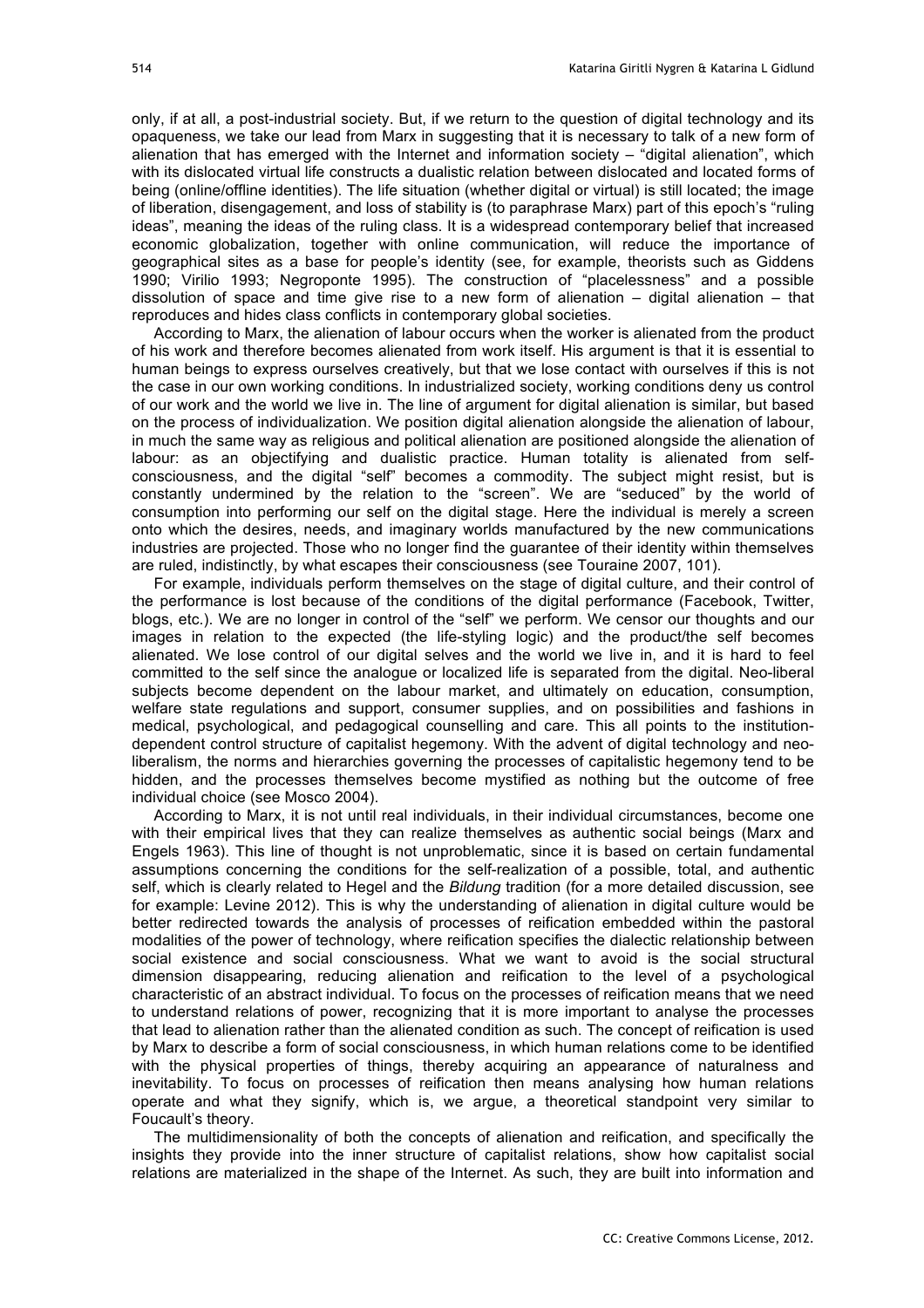only, if at all, a post-industrial society. But, if we return to the question of digital technology and its opaqueness, we take our lead from Marx in suggesting that it is necessary to talk of a new form of alienation that has emerged with the Internet and information society – "digital alienation", which with its dislocated virtual life constructs a dualistic relation between dislocated and located forms of being (online/offline identities). The life situation (whether digital or virtual) is still located; the image of liberation, disengagement, and loss of stability is (to paraphrase Marx) part of this epoch's "ruling ideas", meaning the ideas of the ruling class. It is a widespread contemporary belief that increased economic globalization, together with online communication, will reduce the importance of geographical sites as a base for people's identity (see, for example, theorists such as Giddens 1990; Virilio 1993; Negroponte 1995). The construction of "placelessness" and a possible dissolution of space and time give rise to a new form of alienation – digital alienation – that reproduces and hides class conflicts in contemporary global societies.

According to Marx, the alienation of labour occurs when the worker is alienated from the product of his work and therefore becomes alienated from work itself. His argument is that it is essential to human beings to express ourselves creatively, but that we lose contact with ourselves if this is not the case in our own working conditions. In industrialized society, working conditions deny us control of our work and the world we live in. The line of argument for digital alienation is similar, but based on the process of individualization. We position digital alienation alongside the alienation of labour, in much the same way as religious and political alienation are positioned alongside the alienation of labour: as an objectifying and dualistic practice. Human totality is alienated from selfconsciousness, and the digital "self" becomes a commodity. The subject might resist, but is constantly undermined by the relation to the "screen". We are "seduced" by the world of consumption into performing our self on the digital stage. Here the individual is merely a screen onto which the desires, needs, and imaginary worlds manufactured by the new communications industries are projected. Those who no longer find the guarantee of their identity within themselves are ruled, indistinctly, by what escapes their consciousness (see Touraine 2007, 101).

For example, individuals perform themselves on the stage of digital culture, and their control of the performance is lost because of the conditions of the digital performance (Facebook, Twitter, blogs, etc.). We are no longer in control of the "self" we perform. We censor our thoughts and our images in relation to the expected (the life-styling logic) and the product/the self becomes alienated. We lose control of our digital selves and the world we live in, and it is hard to feel committed to the self since the analogue or localized life is separated from the digital. Neo-liberal subjects become dependent on the labour market, and ultimately on education, consumption, welfare state regulations and support, consumer supplies, and on possibilities and fashions in medical, psychological, and pedagogical counselling and care. This all points to the institutiondependent control structure of capitalist hegemony. With the advent of digital technology and neoliberalism, the norms and hierarchies governing the processes of capitalistic hegemony tend to be hidden, and the processes themselves become mystified as nothing but the outcome of free individual choice (see Mosco 2004).

According to Marx, it is not until real individuals, in their individual circumstances, become one with their empirical lives that they can realize themselves as authentic social beings (Marx and Engels 1963). This line of thought is not unproblematic, since it is based on certain fundamental assumptions concerning the conditions for the self-realization of a possible, total, and authentic self, which is clearly related to Hegel and the *Bildung* tradition (for a more detailed discussion, see for example: Levine 2012). This is why the understanding of alienation in digital culture would be better redirected towards the analysis of processes of reification embedded within the pastoral modalities of the power of technology, where reification specifies the dialectic relationship between social existence and social consciousness. What we want to avoid is the social structural dimension disappearing, reducing alienation and reification to the level of a psychological characteristic of an abstract individual. To focus on the processes of reification means that we need to understand relations of power, recognizing that it is more important to analyse the processes that lead to alienation rather than the alienated condition as such. The concept of reification is used by Marx to describe a form of social consciousness, in which human relations come to be identified with the physical properties of things, thereby acquiring an appearance of naturalness and inevitability. To focus on processes of reification then means analysing how human relations operate and what they signify, which is, we argue, a theoretical standpoint very similar to Foucault's theory.

The multidimensionality of both the concepts of alienation and reification, and specifically the insights they provide into the inner structure of capitalist relations, show how capitalist social relations are materialized in the shape of the Internet. As such, they are built into information and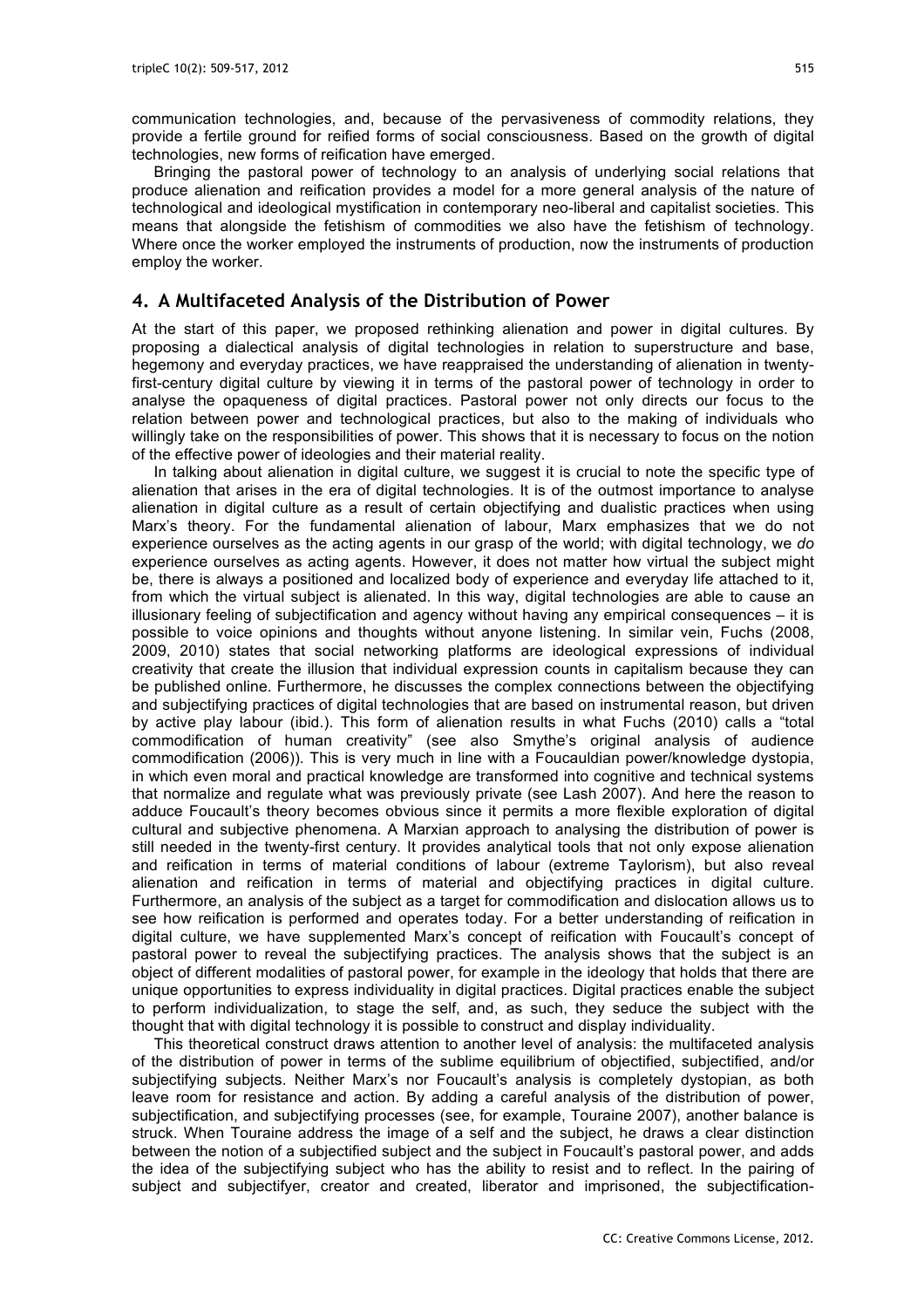communication technologies, and, because of the pervasiveness of commodity relations, they provide a fertile ground for reified forms of social consciousness. Based on the growth of digital technologies, new forms of reification have emerged.

Bringing the pastoral power of technology to an analysis of underlying social relations that produce alienation and reification provides a model for a more general analysis of the nature of technological and ideological mystification in contemporary neo-liberal and capitalist societies. This means that alongside the fetishism of commodities we also have the fetishism of technology. Where once the worker employed the instruments of production, now the instruments of production employ the worker.

## **4. A Multifaceted Analysis of the Distribution of Power**

At the start of this paper, we proposed rethinking alienation and power in digital cultures. By proposing a dialectical analysis of digital technologies in relation to superstructure and base, hegemony and everyday practices, we have reappraised the understanding of alienation in twentyfirst-century digital culture by viewing it in terms of the pastoral power of technology in order to analyse the opaqueness of digital practices. Pastoral power not only directs our focus to the relation between power and technological practices, but also to the making of individuals who willingly take on the responsibilities of power. This shows that it is necessary to focus on the notion of the effective power of ideologies and their material reality.

In talking about alienation in digital culture, we suggest it is crucial to note the specific type of alienation that arises in the era of digital technologies. It is of the outmost importance to analyse alienation in digital culture as a result of certain objectifying and dualistic practices when using Marx's theory. For the fundamental alienation of labour, Marx emphasizes that we do not experience ourselves as the acting agents in our grasp of the world; with digital technology, we *do* experience ourselves as acting agents. However, it does not matter how virtual the subject might be, there is always a positioned and localized body of experience and everyday life attached to it, from which the virtual subject is alienated. In this way, digital technologies are able to cause an illusionary feeling of subjectification and agency without having any empirical consequences – it is possible to voice opinions and thoughts without anyone listening. In similar vein, Fuchs (2008, 2009, 2010) states that social networking platforms are ideological expressions of individual creativity that create the illusion that individual expression counts in capitalism because they can be published online. Furthermore, he discusses the complex connections between the objectifying and subjectifying practices of digital technologies that are based on instrumental reason, but driven by active play labour (ibid.). This form of alienation results in what Fuchs (2010) calls a "total commodification of human creativity" (see also Smythe's original analysis of audience commodification (2006)). This is very much in line with a Foucauldian power/knowledge dystopia, in which even moral and practical knowledge are transformed into cognitive and technical systems that normalize and regulate what was previously private (see Lash 2007). And here the reason to adduce Foucault's theory becomes obvious since it permits a more flexible exploration of digital cultural and subjective phenomena. A Marxian approach to analysing the distribution of power is still needed in the twenty-first century. It provides analytical tools that not only expose alienation and reification in terms of material conditions of labour (extreme Taylorism), but also reveal alienation and reification in terms of material and objectifying practices in digital culture. Furthermore, an analysis of the subject as a target for commodification and dislocation allows us to see how reification is performed and operates today. For a better understanding of reification in digital culture, we have supplemented Marx's concept of reification with Foucault's concept of pastoral power to reveal the subjectifying practices. The analysis shows that the subject is an object of different modalities of pastoral power, for example in the ideology that holds that there are unique opportunities to express individuality in digital practices. Digital practices enable the subject to perform individualization, to stage the self, and, as such, they seduce the subject with the thought that with digital technology it is possible to construct and display individuality.

This theoretical construct draws attention to another level of analysis: the multifaceted analysis of the distribution of power in terms of the sublime equilibrium of objectified, subjectified, and/or subjectifying subjects. Neither Marx's nor Foucault's analysis is completely dystopian, as both leave room for resistance and action. By adding a careful analysis of the distribution of power, subjectification, and subjectifying processes (see, for example, Touraine 2007), another balance is struck. When Touraine address the image of a self and the subject, he draws a clear distinction between the notion of a subjectified subject and the subject in Foucault's pastoral power, and adds the idea of the subjectifying subject who has the ability to resist and to reflect. In the pairing of subject and subjectifyer, creator and created, liberator and imprisoned, the subjectification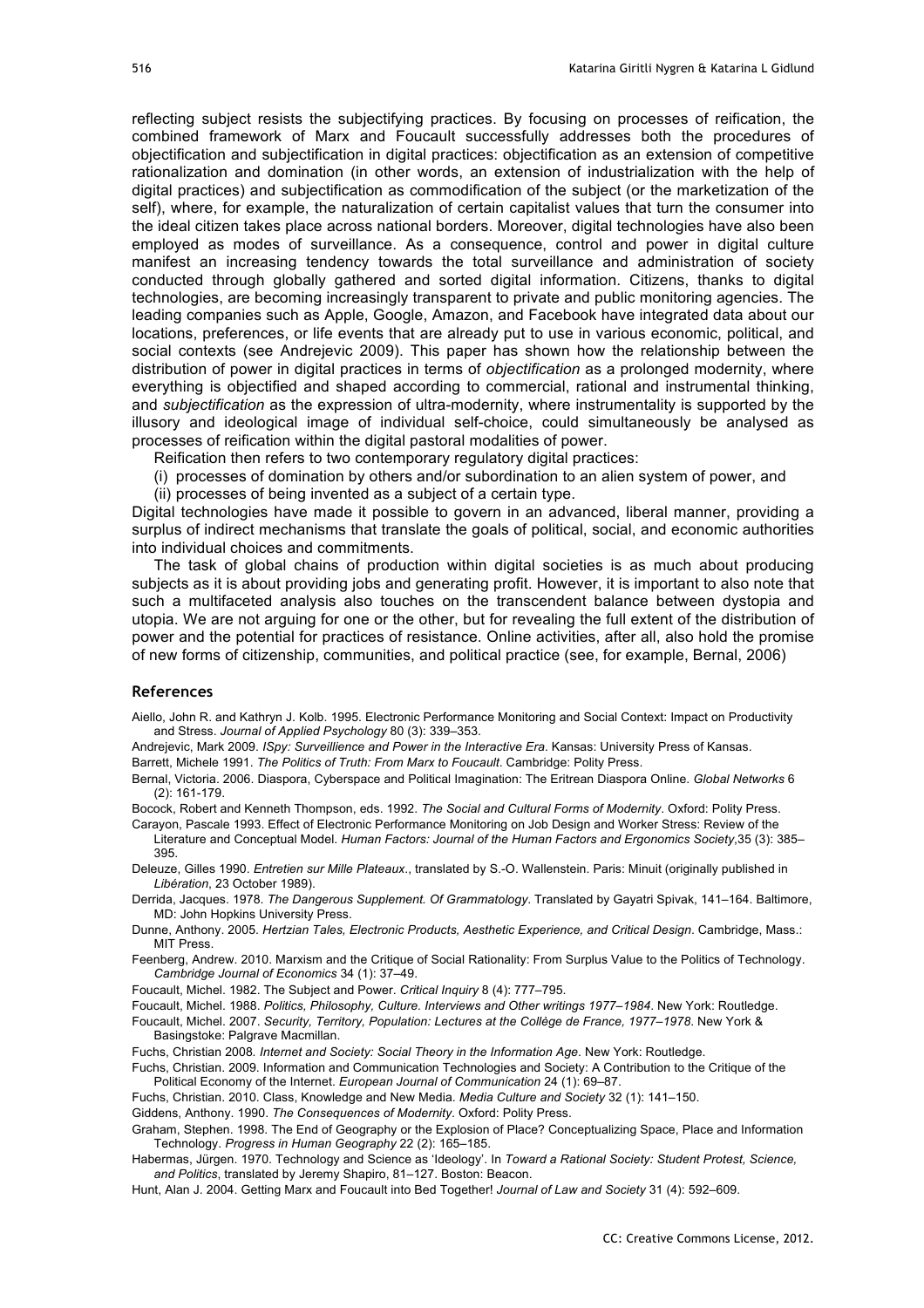reflecting subject resists the subjectifying practices. By focusing on processes of reification, the combined framework of Marx and Foucault successfully addresses both the procedures of objectification and subjectification in digital practices: objectification as an extension of competitive rationalization and domination (in other words, an extension of industrialization with the help of digital practices) and subjectification as commodification of the subject (or the marketization of the self), where, for example, the naturalization of certain capitalist values that turn the consumer into the ideal citizen takes place across national borders. Moreover, digital technologies have also been employed as modes of surveillance. As a consequence, control and power in digital culture manifest an increasing tendency towards the total surveillance and administration of society conducted through globally gathered and sorted digital information. Citizens, thanks to digital technologies, are becoming increasingly transparent to private and public monitoring agencies. The leading companies such as Apple, Google, Amazon, and Facebook have integrated data about our locations, preferences, or life events that are already put to use in various economic, political, and social contexts (see Andrejevic 2009). This paper has shown how the relationship between the distribution of power in digital practices in terms of *objectification* as a prolonged modernity, where everything is objectified and shaped according to commercial, rational and instrumental thinking, and *subjectification* as the expression of ultra-modernity, where instrumentality is supported by the illusory and ideological image of individual self-choice, could simultaneously be analysed as processes of reification within the digital pastoral modalities of power.

Reification then refers to two contemporary regulatory digital practices:

- (i) processes of domination by others and/or subordination to an alien system of power, and
- (ii) processes of being invented as a subject of a certain type.

Digital technologies have made it possible to govern in an advanced, liberal manner, providing a surplus of indirect mechanisms that translate the goals of political, social, and economic authorities into individual choices and commitments.

The task of global chains of production within digital societies is as much about producing subjects as it is about providing jobs and generating profit. However, it is important to also note that such a multifaceted analysis also touches on the transcendent balance between dystopia and utopia. We are not arguing for one or the other, but for revealing the full extent of the distribution of power and the potential for practices of resistance. Online activities, after all, also hold the promise of new forms of citizenship, communities, and political practice (see, for example, Bernal, 2006)

### **References**

Aiello, John R. and Kathryn J. Kolb. 1995. Electronic Performance Monitoring and Social Context: Impact on Productivity and Stress. *Journal of Applied Psychology* 80 (3): 339–353.

Andrejevic, Mark 2009. *ISpy: Surveillience and Power in the Interactive Era*. Kansas: University Press of Kansas.

Barrett, Michele 1991. *The Politics of Truth: From Marx to Foucault*. Cambridge: Polity Press.

Bernal, Victoria. 2006. Diaspora, Cyberspace and Political Imagination: The Eritrean Diaspora Online. *Global Networks* 6 (2): 161-179.

Bocock, Robert and Kenneth Thompson, eds. 1992. *The Social and Cultural Forms of Modernity*. Oxford: Polity Press.

Carayon, Pascale 1993. Effect of Electronic Performance Monitoring on Job Design and Worker Stress: Review of the Literature and Conceptual Model. *Human Factors: Journal of the Human Factors and Ergonomics Society*,35 (3): 385– 395.

Deleuze, Gilles 1990. *Entretien sur Mille Plateaux*., translated by S.-O. Wallenstein. Paris: Minuit (originally published in *Libération*, 23 October 1989).

Derrida, Jacques. 1978. *The Dangerous Supplement. Of Grammatology*. Translated by Gayatri Spivak, 141–164. Baltimore, MD: John Hopkins University Press.

Dunne, Anthony. 2005. *Hertzian Tales, Electronic Products, Aesthetic Experience, and Critical Design*. Cambridge, Mass.: MIT Press.

Feenberg, Andrew. 2010. Marxism and the Critique of Social Rationality: From Surplus Value to the Politics of Technology. *Cambridge Journal of Economics* 34 (1): 37–49.

Foucault, Michel. 1982. The Subject and Power. *Critical Inquiry* 8 (4): 777–795.

Foucault, Michel. 1988. *Politics, Philosophy, Culture. Interviews and Other writings 1977–1984*. New York: Routledge.

Foucault, Michel. 2007. *Security, Territory, Population: Lectures at the Collège de France, 1977–1978*. New York & Basingstoke: Palgrave Macmillan.

Fuchs, Christian 2008*. Internet and Society: Social Theory in the Information Age*. New York: Routledge.

Fuchs, Christian. 2009. Information and Communication Technologies and Society: A Contribution to the Critique of the Political Economy of the Internet. *European Journal of Communication* 24 (1): 69–87.

Fuchs, Christian. 2010. Class, Knowledge and New Media. *Media Culture and Society* 32 (1): 141–150.

Giddens, Anthony. 1990. *The Consequences of Modernity*. Oxford: Polity Press.

Graham, Stephen. 1998. The End of Geography or the Explosion of Place? Conceptualizing Space, Place and Information Technology. *Progress in Human Geography* 22 (2): 165–185.

Habermas, Jürgen. 1970. Technology and Science as 'Ideology'. In *Toward a Rational Society: Student Protest, Science, and Politics*, translated by Jeremy Shapiro, 81–127. Boston: Beacon.

Hunt, Alan J. 2004. Getting Marx and Foucault into Bed Together! *Journal of Law and Society* 31 (4): 592–609.